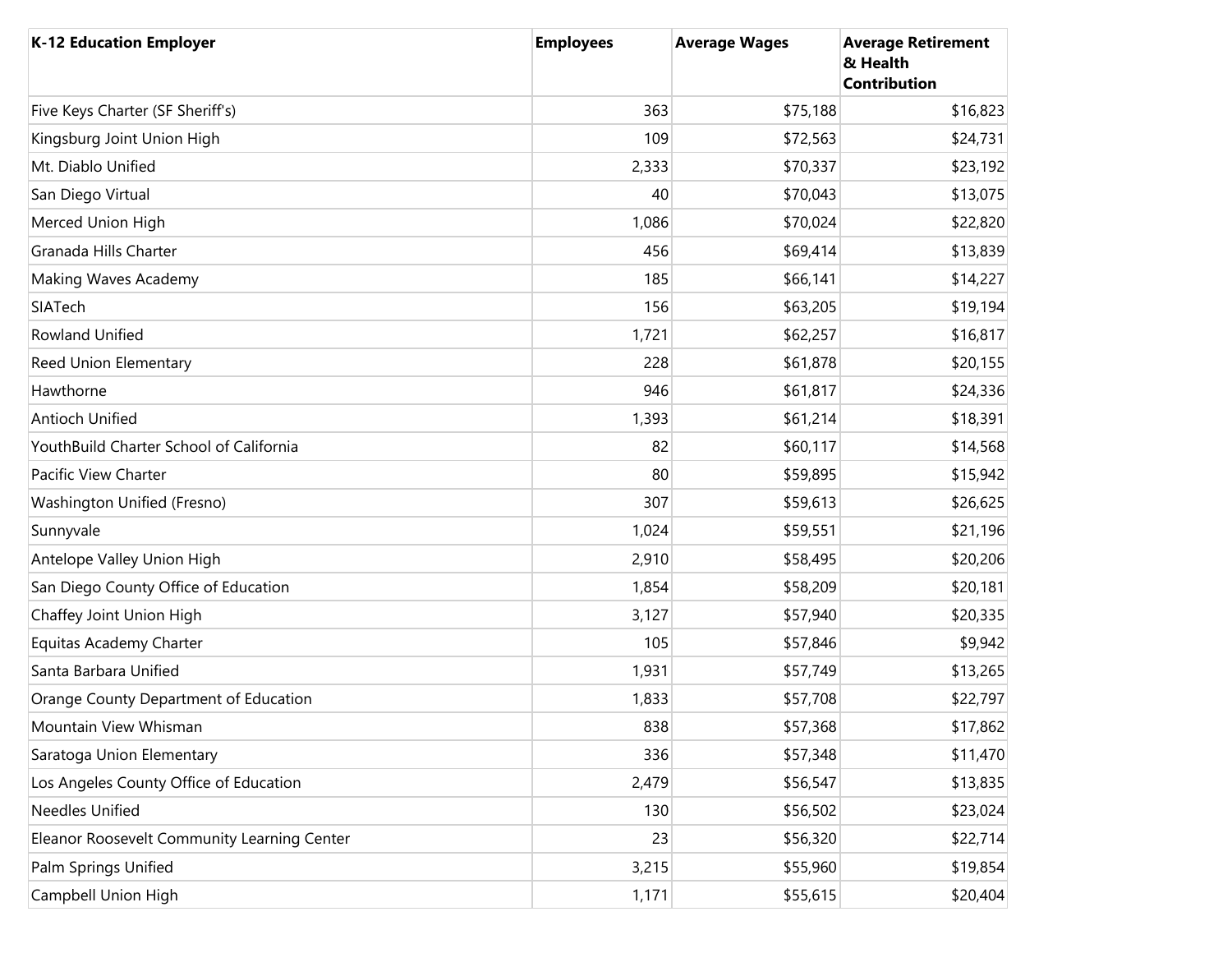| <b>K-12 Education Employer</b>              | <b>Employees</b> | <b>Average Wages</b> | <b>Average Retirement</b><br>& Health<br><b>Contribution</b> |
|---------------------------------------------|------------------|----------------------|--------------------------------------------------------------|
| Five Keys Charter (SF Sheriff's)            | 363              | \$75,188             | \$16,823                                                     |
| Kingsburg Joint Union High                  | 109              | \$72,563             | \$24,731                                                     |
| Mt. Diablo Unified                          | 2,333            | \$70,337             | \$23,192                                                     |
| San Diego Virtual                           | 40               | \$70,043             | \$13,075                                                     |
| Merced Union High                           | 1,086            | \$70,024             | \$22,820                                                     |
| Granada Hills Charter                       | 456              | \$69,414             | \$13,839                                                     |
| Making Waves Academy                        | 185              | \$66,141             | \$14,227                                                     |
| SIATech                                     | 156              | \$63,205             | \$19,194                                                     |
| Rowland Unified                             | 1,721            | \$62,257             | \$16,817                                                     |
| <b>Reed Union Elementary</b>                | 228              | \$61,878             | \$20,155                                                     |
| Hawthorne                                   | 946              | \$61,817             | \$24,336                                                     |
| Antioch Unified                             | 1,393            | \$61,214             | \$18,391                                                     |
| YouthBuild Charter School of California     | 82               | \$60,117             | \$14,568                                                     |
| Pacific View Charter                        | 80               | \$59,895             | \$15,942                                                     |
| Washington Unified (Fresno)                 | 307              | \$59,613             | \$26,625                                                     |
| Sunnyvale                                   | 1,024            | \$59,551             | \$21,196                                                     |
| Antelope Valley Union High                  | 2,910            | \$58,495             | \$20,206                                                     |
| San Diego County Office of Education        | 1,854            | \$58,209             | \$20,181                                                     |
| Chaffey Joint Union High                    | 3,127            | \$57,940             | \$20,335                                                     |
| Equitas Academy Charter                     | 105              | \$57,846             | \$9,942                                                      |
| Santa Barbara Unified                       | 1,931            | \$57,749             | \$13,265                                                     |
| Orange County Department of Education       | 1,833            | \$57,708             | \$22,797                                                     |
| Mountain View Whisman                       | 838              | \$57,368             | \$17,862                                                     |
| Saratoga Union Elementary                   | 336              | \$57,348             | \$11,470                                                     |
| Los Angeles County Office of Education      | 2,479            | \$56,547             | \$13,835                                                     |
| Needles Unified                             | 130              | \$56,502             | \$23,024                                                     |
| Eleanor Roosevelt Community Learning Center | 23               | \$56,320             | \$22,714                                                     |
| Palm Springs Unified                        | 3,215            | \$55,960             | \$19,854                                                     |
| Campbell Union High                         | 1,171            | \$55,615             | \$20,404                                                     |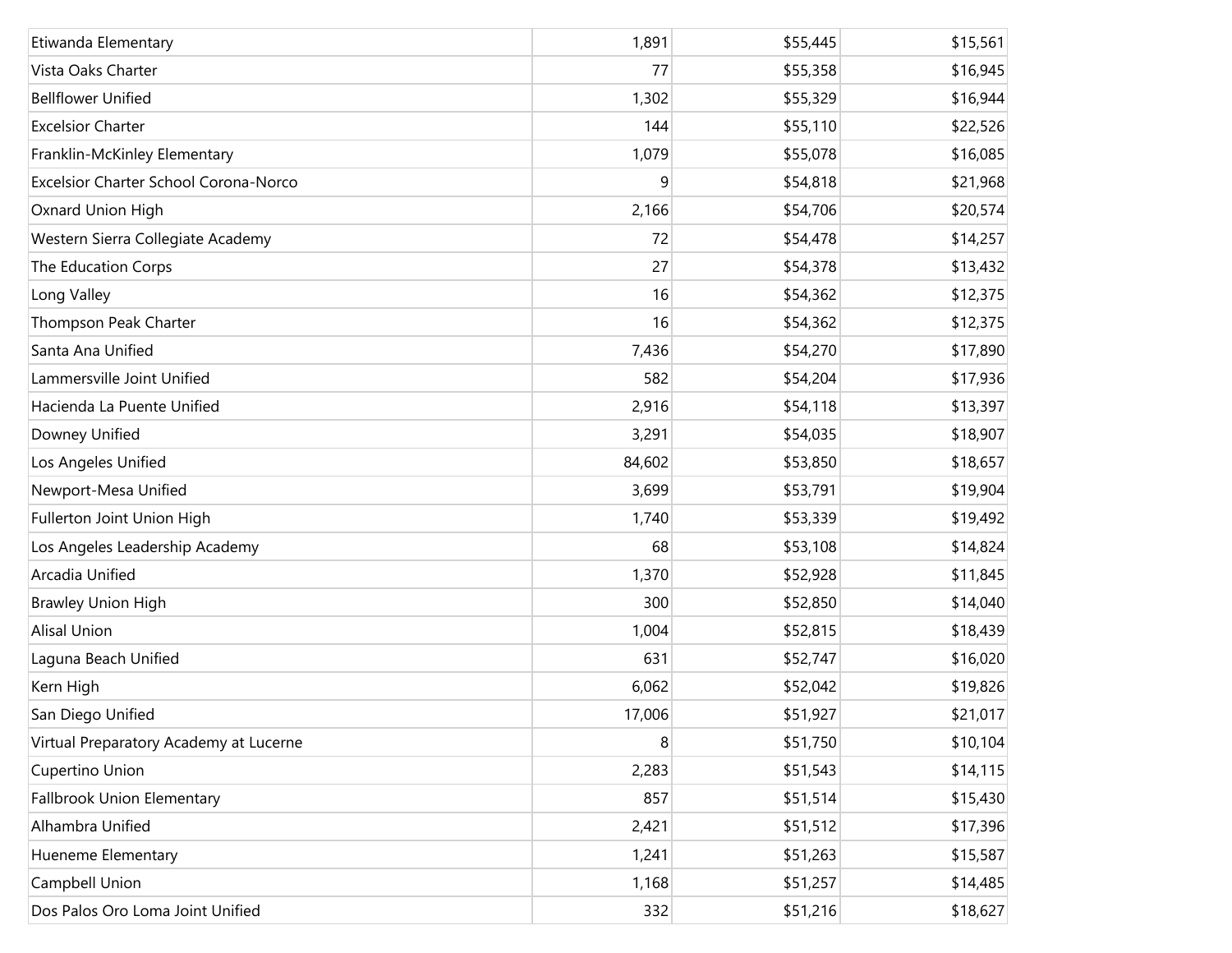| Etiwanda Elementary                    | 1,891  | \$55,445 | \$15,561 |
|----------------------------------------|--------|----------|----------|
| Vista Oaks Charter                     | 77     | \$55,358 | \$16,945 |
| <b>Bellflower Unified</b>              | 1,302  | \$55,329 | \$16,944 |
| <b>Excelsior Charter</b>               | 144    | \$55,110 | \$22,526 |
| Franklin-McKinley Elementary           | 1,079  | \$55,078 | \$16,085 |
| Excelsior Charter School Corona-Norco  | 9      | \$54,818 | \$21,968 |
| Oxnard Union High                      | 2,166  | \$54,706 | \$20,574 |
| Western Sierra Collegiate Academy      | 72     | \$54,478 | \$14,257 |
| The Education Corps                    | 27     | \$54,378 | \$13,432 |
| Long Valley                            | 16     | \$54,362 | \$12,375 |
| Thompson Peak Charter                  | 16     | \$54,362 | \$12,375 |
| Santa Ana Unified                      | 7,436  | \$54,270 | \$17,890 |
| Lammersville Joint Unified             | 582    | \$54,204 | \$17,936 |
| Hacienda La Puente Unified             | 2,916  | \$54,118 | \$13,397 |
| Downey Unified                         | 3,291  | \$54,035 | \$18,907 |
| Los Angeles Unified                    | 84,602 | \$53,850 | \$18,657 |
| Newport-Mesa Unified                   | 3,699  | \$53,791 | \$19,904 |
| Fullerton Joint Union High             | 1,740  | \$53,339 | \$19,492 |
| Los Angeles Leadership Academy         | 68     | \$53,108 | \$14,824 |
| Arcadia Unified                        | 1,370  | \$52,928 | \$11,845 |
| <b>Brawley Union High</b>              | 300    | \$52,850 | \$14,040 |
| <b>Alisal Union</b>                    | 1,004  | \$52,815 | \$18,439 |
| Laguna Beach Unified                   | 631    | \$52,747 | \$16,020 |
| Kern High                              | 6,062  | \$52,042 | \$19,826 |
| San Diego Unified                      | 17,006 | \$51,927 | \$21,017 |
| Virtual Preparatory Academy at Lucerne | 8      | \$51,750 | \$10,104 |
| Cupertino Union                        | 2,283  | \$51,543 | \$14,115 |
| Fallbrook Union Elementary             | 857    | \$51,514 | \$15,430 |
| Alhambra Unified                       | 2,421  | \$51,512 | \$17,396 |
| Hueneme Elementary                     | 1,241  | \$51,263 | \$15,587 |
| Campbell Union                         | 1,168  | \$51,257 | \$14,485 |
| Dos Palos Oro Loma Joint Unified       | 332    | \$51,216 | \$18,627 |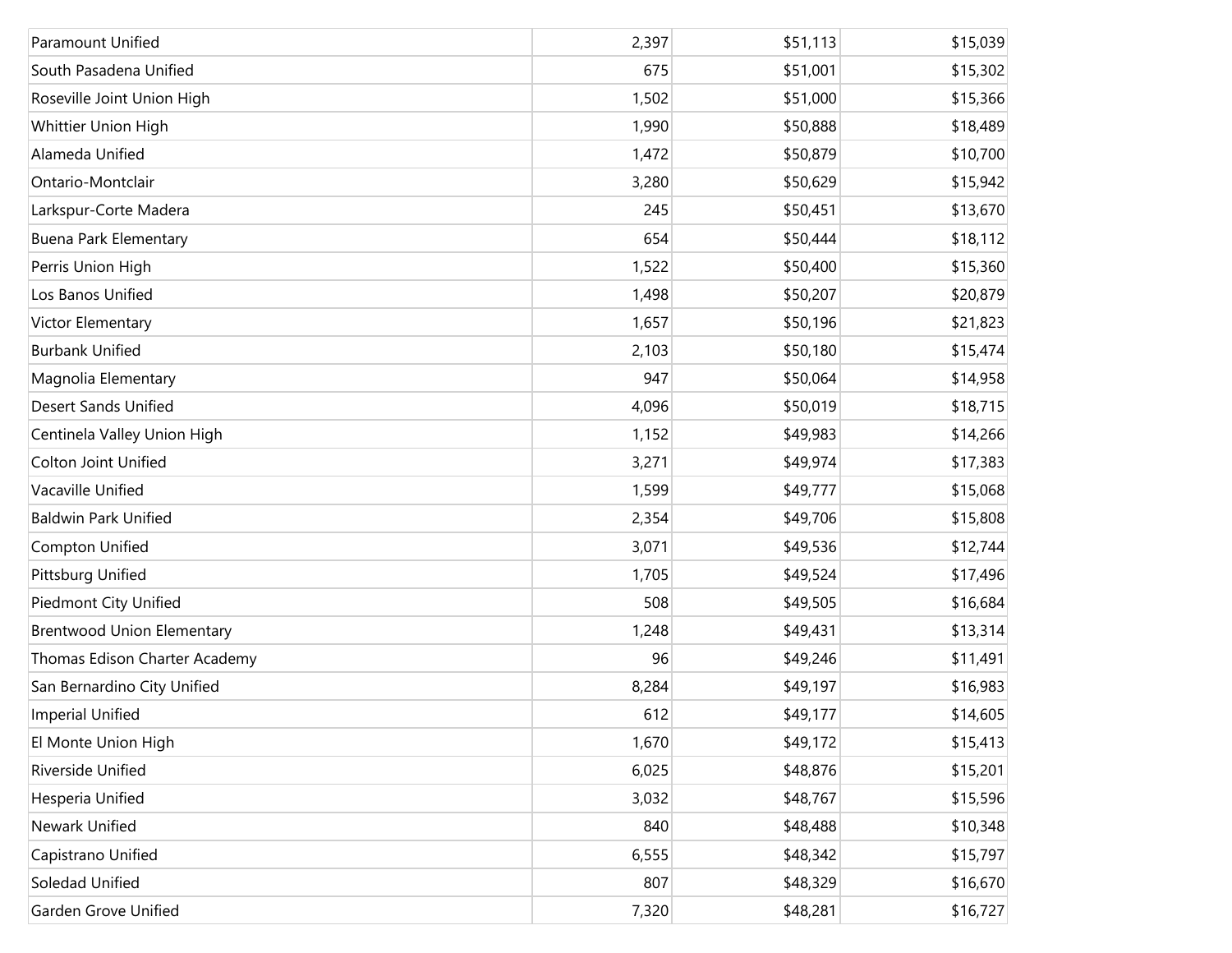| Paramount Unified                 | 2,397 | \$51,113 | \$15,039 |
|-----------------------------------|-------|----------|----------|
| South Pasadena Unified            | 675   | \$51,001 | \$15,302 |
| Roseville Joint Union High        | 1,502 | \$51,000 | \$15,366 |
| Whittier Union High               | 1,990 | \$50,888 | \$18,489 |
| Alameda Unified                   | 1,472 | \$50,879 | \$10,700 |
| Ontario-Montclair                 | 3,280 | \$50,629 | \$15,942 |
| Larkspur-Corte Madera             | 245   | \$50,451 | \$13,670 |
| <b>Buena Park Elementary</b>      | 654   | \$50,444 | \$18,112 |
| Perris Union High                 | 1,522 | \$50,400 | \$15,360 |
| Los Banos Unified                 | 1,498 | \$50,207 | \$20,879 |
| Victor Elementary                 | 1,657 | \$50,196 | \$21,823 |
| <b>Burbank Unified</b>            | 2,103 | \$50,180 | \$15,474 |
| Magnolia Elementary               | 947   | \$50,064 | \$14,958 |
| <b>Desert Sands Unified</b>       | 4,096 | \$50,019 | \$18,715 |
| Centinela Valley Union High       | 1,152 | \$49,983 | \$14,266 |
| <b>Colton Joint Unified</b>       | 3,271 | \$49,974 | \$17,383 |
| Vacaville Unified                 | 1,599 | \$49,777 | \$15,068 |
| <b>Baldwin Park Unified</b>       | 2,354 | \$49,706 | \$15,808 |
| Compton Unified                   | 3,071 | \$49,536 | \$12,744 |
| <b>Pittsburg Unified</b>          | 1,705 | \$49,524 | \$17,496 |
| <b>Piedmont City Unified</b>      | 508   | \$49,505 | \$16,684 |
| <b>Brentwood Union Elementary</b> | 1,248 | \$49,431 | \$13,314 |
| Thomas Edison Charter Academy     | 96    | \$49,246 | \$11,491 |
| San Bernardino City Unified       | 8,284 | \$49,197 | \$16,983 |
| <b>Imperial Unified</b>           | 612   | \$49,177 | \$14,605 |
| El Monte Union High               | 1,670 | \$49,172 | \$15,413 |
| Riverside Unified                 | 6,025 | \$48,876 | \$15,201 |
| Hesperia Unified                  | 3,032 | \$48,767 | \$15,596 |
| Newark Unified                    | 840   | \$48,488 | \$10,348 |
| Capistrano Unified                | 6,555 | \$48,342 | \$15,797 |
| Soledad Unified                   | 807   | \$48,329 | \$16,670 |
| Garden Grove Unified              | 7,320 | \$48,281 | \$16,727 |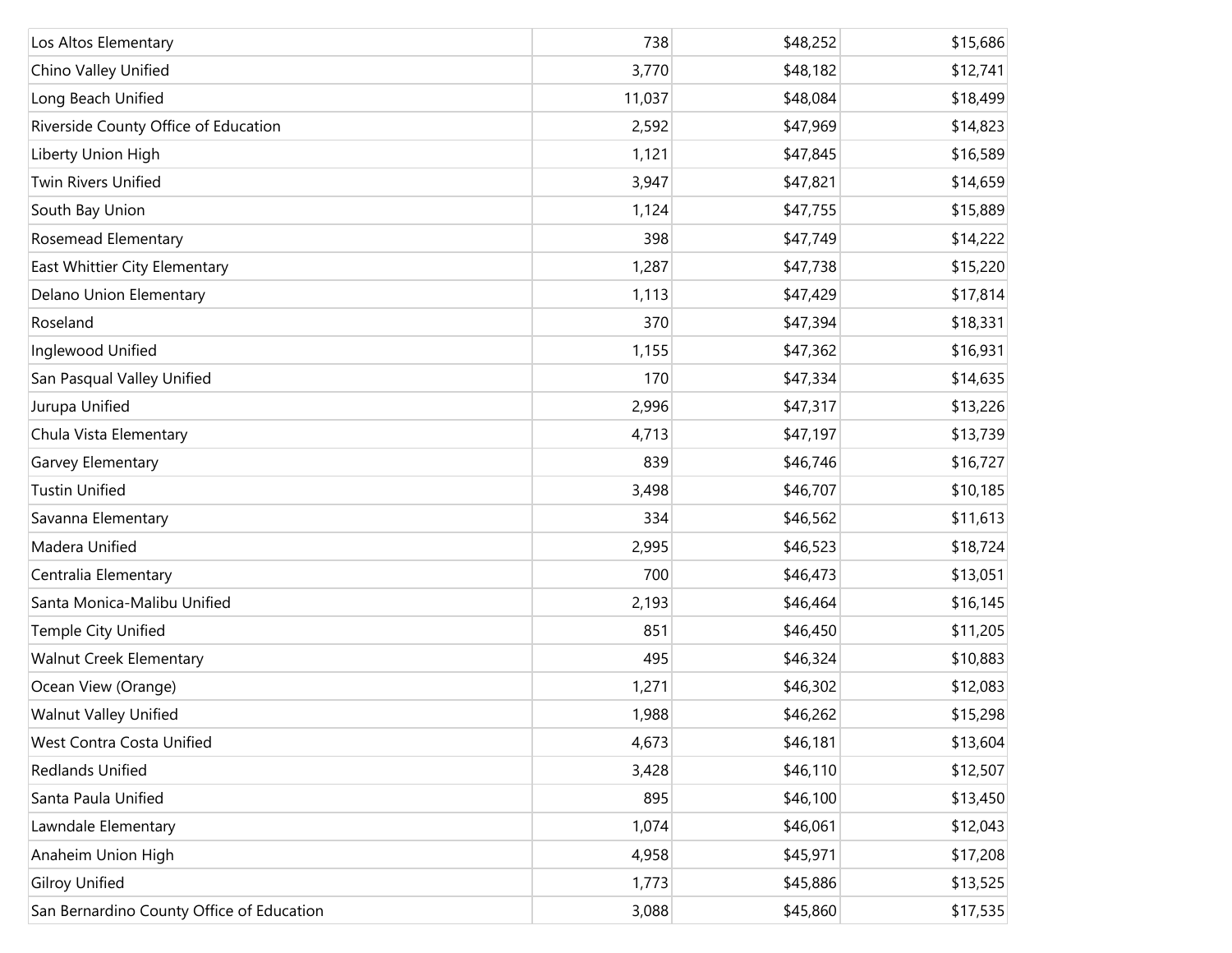| Los Altos Elementary                      | 738    | \$48,252 | \$15,686 |
|-------------------------------------------|--------|----------|----------|
| Chino Valley Unified                      | 3,770  | \$48,182 | \$12,741 |
| Long Beach Unified                        | 11,037 | \$48,084 | \$18,499 |
| Riverside County Office of Education      | 2,592  | \$47,969 | \$14,823 |
| Liberty Union High                        | 1,121  | \$47,845 | \$16,589 |
| Twin Rivers Unified                       | 3,947  | \$47,821 | \$14,659 |
| South Bay Union                           | 1,124  | \$47,755 | \$15,889 |
| Rosemead Elementary                       | 398    | \$47,749 | \$14,222 |
| East Whittier City Elementary             | 1,287  | \$47,738 | \$15,220 |
| Delano Union Elementary                   | 1,113  | \$47,429 | \$17,814 |
| Roseland                                  | 370    | \$47,394 | \$18,331 |
| Inglewood Unified                         | 1,155  | \$47,362 | \$16,931 |
| San Pasqual Valley Unified                | 170    | \$47,334 | \$14,635 |
| Jurupa Unified                            | 2,996  | \$47,317 | \$13,226 |
| Chula Vista Elementary                    | 4,713  | \$47,197 | \$13,739 |
| Garvey Elementary                         | 839    | \$46,746 | \$16,727 |
| <b>Tustin Unified</b>                     | 3,498  | \$46,707 | \$10,185 |
| Savanna Elementary                        | 334    | \$46,562 | \$11,613 |
| Madera Unified                            | 2,995  | \$46,523 | \$18,724 |
| Centralia Elementary                      | 700    | \$46,473 | \$13,051 |
| Santa Monica-Malibu Unified               | 2,193  | \$46,464 | \$16,145 |
| Temple City Unified                       | 851    | \$46,450 | \$11,205 |
| <b>Walnut Creek Elementary</b>            | 495    | \$46,324 | \$10,883 |
| Ocean View (Orange)                       | 1,271  | \$46,302 | \$12,083 |
| <b>Walnut Valley Unified</b>              | 1,988  | \$46,262 | \$15,298 |
| West Contra Costa Unified                 | 4,673  | \$46,181 | \$13,604 |
| Redlands Unified                          | 3,428  | \$46,110 | \$12,507 |
| Santa Paula Unified                       | 895    | \$46,100 | \$13,450 |
| Lawndale Elementary                       | 1,074  | \$46,061 | \$12,043 |
| Anaheim Union High                        | 4,958  | \$45,971 | \$17,208 |
| <b>Gilroy Unified</b>                     | 1,773  | \$45,886 | \$13,525 |
| San Bernardino County Office of Education | 3,088  | \$45,860 | \$17,535 |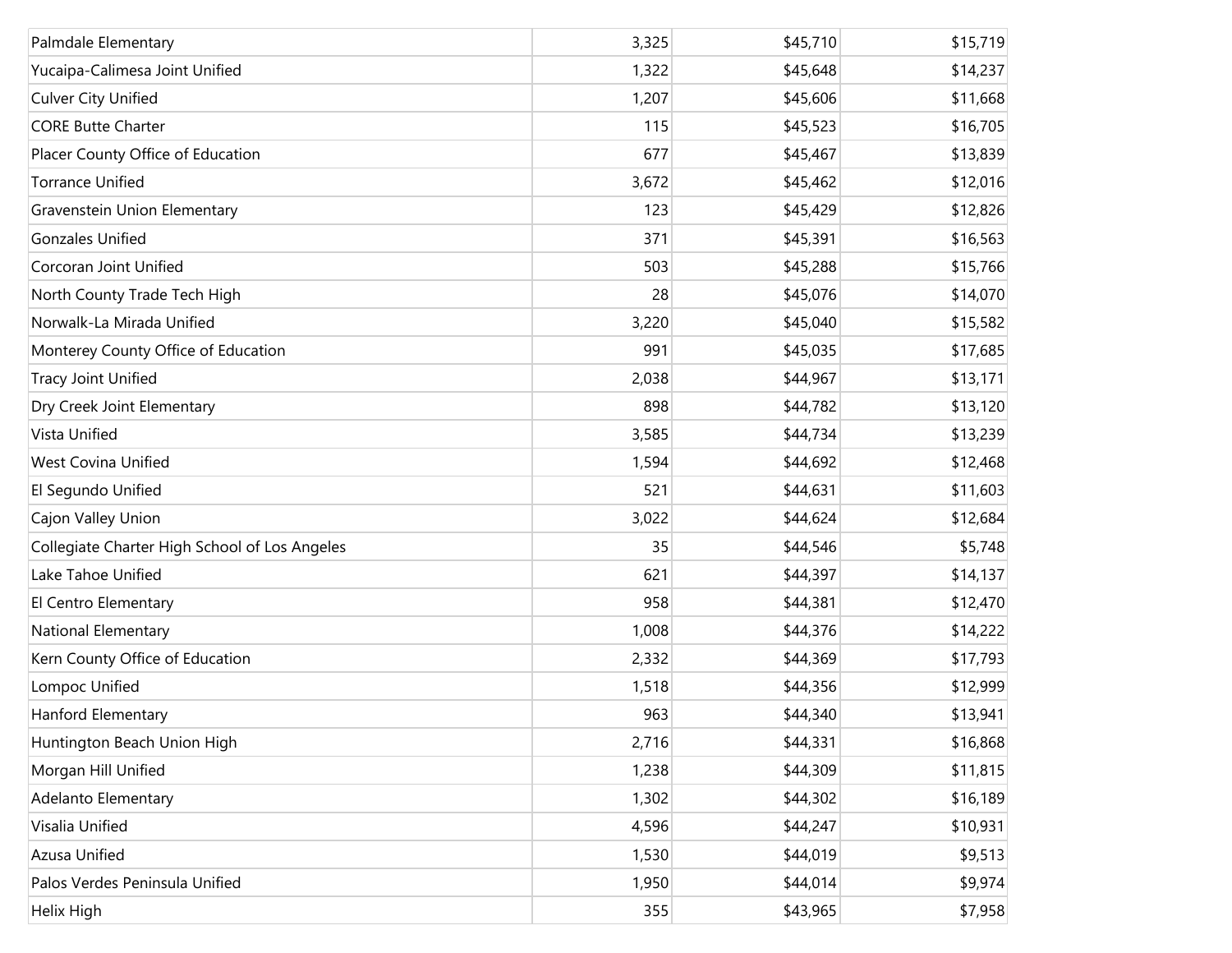| Palmdale Elementary                           | 3,325 | \$45,710 | \$15,719 |
|-----------------------------------------------|-------|----------|----------|
| Yucaipa-Calimesa Joint Unified                | 1,322 | \$45,648 | \$14,237 |
| <b>Culver City Unified</b>                    | 1,207 | \$45,606 | \$11,668 |
| <b>CORE Butte Charter</b>                     | 115   | \$45,523 | \$16,705 |
| Placer County Office of Education             | 677   | \$45,467 | \$13,839 |
| <b>Torrance Unified</b>                       | 3,672 | \$45,462 | \$12,016 |
| Gravenstein Union Elementary                  | 123   | \$45,429 | \$12,826 |
| <b>Gonzales Unified</b>                       | 371   | \$45,391 | \$16,563 |
| Corcoran Joint Unified                        | 503   | \$45,288 | \$15,766 |
| North County Trade Tech High                  | 28    | \$45,076 | \$14,070 |
| Norwalk-La Mirada Unified                     | 3,220 | \$45,040 | \$15,582 |
| Monterey County Office of Education           | 991   | \$45,035 | \$17,685 |
| <b>Tracy Joint Unified</b>                    | 2,038 | \$44,967 | \$13,171 |
| Dry Creek Joint Elementary                    | 898   | \$44,782 | \$13,120 |
| Vista Unified                                 | 3,585 | \$44,734 | \$13,239 |
| <b>West Covina Unified</b>                    | 1,594 | \$44,692 | \$12,468 |
| El Segundo Unified                            | 521   | \$44,631 | \$11,603 |
| Cajon Valley Union                            | 3,022 | \$44,624 | \$12,684 |
| Collegiate Charter High School of Los Angeles | 35    | \$44,546 | \$5,748  |
| Lake Tahoe Unified                            | 621   | \$44,397 | \$14,137 |
| El Centro Elementary                          | 958   | \$44,381 | \$12,470 |
| National Elementary                           | 1,008 | \$44,376 | \$14,222 |
| Kern County Office of Education               | 2,332 | \$44,369 | \$17,793 |
| Lompoc Unified                                | 1,518 | \$44,356 | \$12,999 |
| Hanford Elementary                            | 963   | \$44,340 | \$13,941 |
| Huntington Beach Union High                   | 2,716 | \$44,331 | \$16,868 |
| Morgan Hill Unified                           | 1,238 | \$44,309 | \$11,815 |
| Adelanto Elementary                           | 1,302 | \$44,302 | \$16,189 |
| Visalia Unified                               | 4,596 | \$44,247 | \$10,931 |
| Azusa Unified                                 | 1,530 | \$44,019 | \$9,513  |
| Palos Verdes Peninsula Unified                | 1,950 | \$44,014 | \$9,974  |
| Helix High                                    | 355   | \$43,965 | \$7,958  |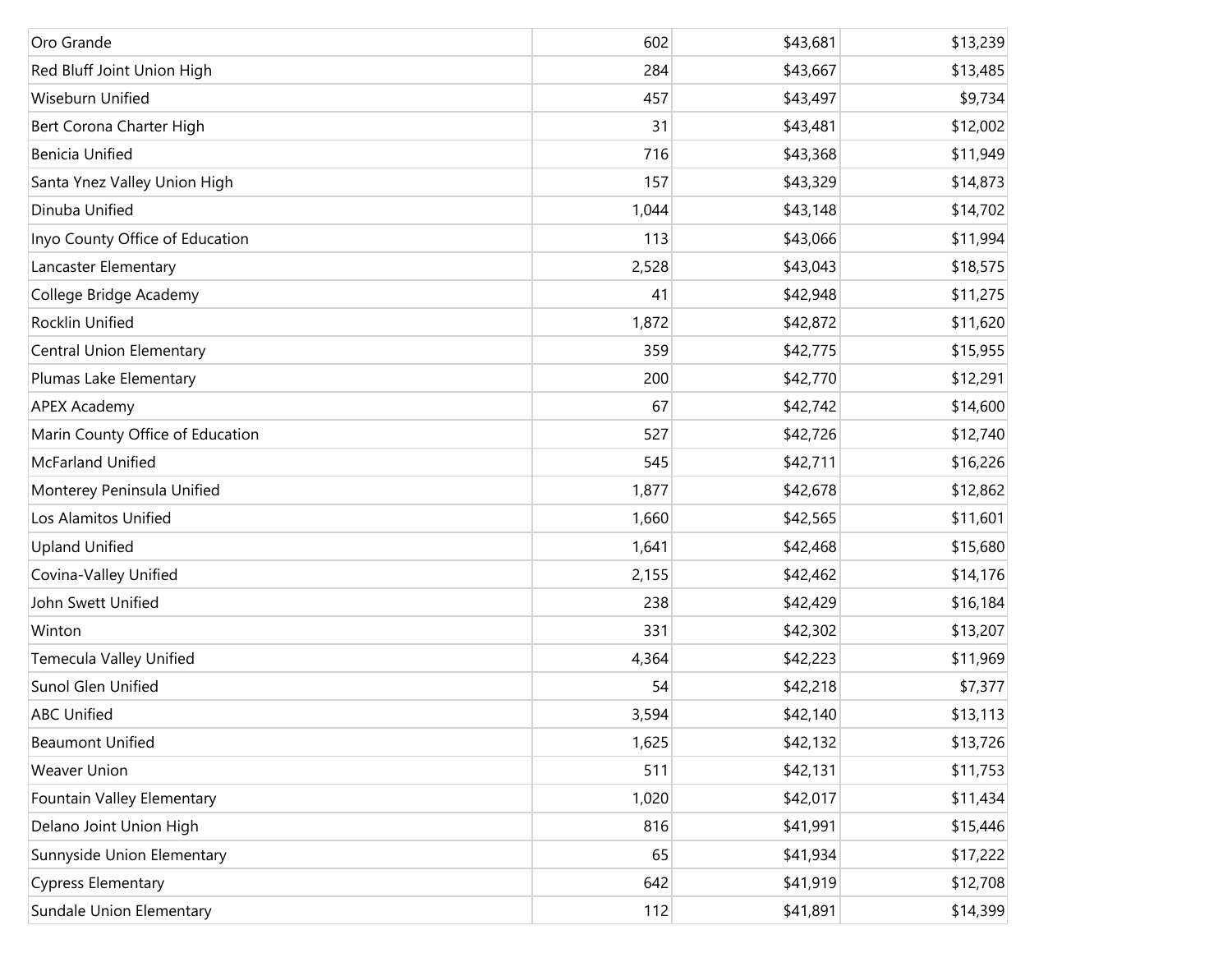| Oro Grande                       | 602   | \$43,681 | \$13,239 |
|----------------------------------|-------|----------|----------|
| Red Bluff Joint Union High       | 284   | \$43,667 | \$13,485 |
| Wiseburn Unified                 | 457   | \$43,497 | \$9,734  |
| Bert Corona Charter High         | 31    | \$43,481 | \$12,002 |
| <b>Benicia Unified</b>           | 716   | \$43,368 | \$11,949 |
| Santa Ynez Valley Union High     | 157   | \$43,329 | \$14,873 |
| Dinuba Unified                   | 1,044 | \$43,148 | \$14,702 |
| Inyo County Office of Education  | 113   | \$43,066 | \$11,994 |
| Lancaster Elementary             | 2,528 | \$43,043 | \$18,575 |
| College Bridge Academy           | 41    | \$42,948 | \$11,275 |
| Rocklin Unified                  | 1,872 | \$42,872 | \$11,620 |
| <b>Central Union Elementary</b>  | 359   | \$42,775 | \$15,955 |
| Plumas Lake Elementary           | 200   | \$42,770 | \$12,291 |
| <b>APEX Academy</b>              | 67    | \$42,742 | \$14,600 |
| Marin County Office of Education | 527   | \$42,726 | \$12,740 |
| McFarland Unified                | 545   | \$42,711 | \$16,226 |
| Monterey Peninsula Unified       | 1,877 | \$42,678 | \$12,862 |
| Los Alamitos Unified             | 1,660 | \$42,565 | \$11,601 |
| <b>Upland Unified</b>            | 1,641 | \$42,468 | \$15,680 |
| Covina-Valley Unified            | 2,155 | \$42,462 | \$14,176 |
| John Swett Unified               | 238   | \$42,429 | \$16,184 |
| Winton                           | 331   | \$42,302 | \$13,207 |
| Temecula Valley Unified          | 4,364 | \$42,223 | \$11,969 |
| Sunol Glen Unified               | 54    | \$42,218 | \$7,377  |
| <b>ABC Unified</b>               | 3,594 | \$42,140 | \$13,113 |
| <b>Beaumont Unified</b>          | 1,625 | \$42,132 | \$13,726 |
| Weaver Union                     | 511   | \$42,131 | \$11,753 |
| Fountain Valley Elementary       | 1,020 | \$42,017 | \$11,434 |
| Delano Joint Union High          | 816   | \$41,991 | \$15,446 |
| Sunnyside Union Elementary       | 65    | \$41,934 | \$17,222 |
| <b>Cypress Elementary</b>        | 642   | \$41,919 | \$12,708 |
| Sundale Union Elementary         | 112   | \$41,891 | \$14,399 |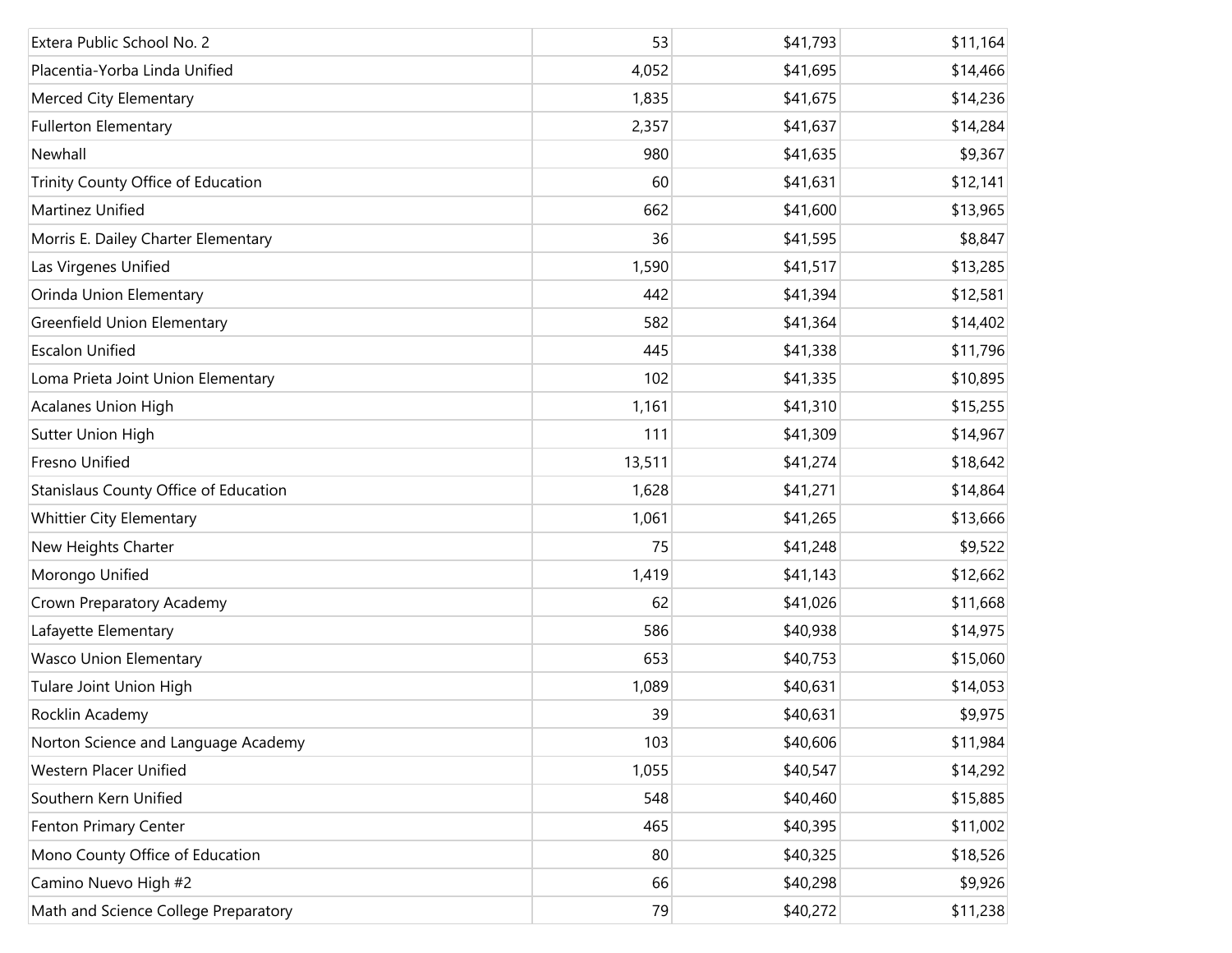| Extera Public School No. 2            | 53     | \$41,793 | \$11,164 |
|---------------------------------------|--------|----------|----------|
| Placentia-Yorba Linda Unified         | 4,052  | \$41,695 | \$14,466 |
| Merced City Elementary                | 1,835  | \$41,675 | \$14,236 |
| <b>Fullerton Elementary</b>           | 2,357  | \$41,637 | \$14,284 |
| Newhall                               | 980    | \$41,635 | \$9,367  |
| Trinity County Office of Education    | 60     | \$41,631 | \$12,141 |
| Martinez Unified                      | 662    | \$41,600 | \$13,965 |
| Morris E. Dailey Charter Elementary   | 36     | \$41,595 | \$8,847  |
| Las Virgenes Unified                  | 1,590  | \$41,517 | \$13,285 |
| Orinda Union Elementary               | 442    | \$41,394 | \$12,581 |
| Greenfield Union Elementary           | 582    | \$41,364 | \$14,402 |
| <b>Escalon Unified</b>                | 445    | \$41,338 | \$11,796 |
| Loma Prieta Joint Union Elementary    | 102    | \$41,335 | \$10,895 |
| Acalanes Union High                   | 1,161  | \$41,310 | \$15,255 |
| Sutter Union High                     | 111    | \$41,309 | \$14,967 |
| Fresno Unified                        | 13,511 | \$41,274 | \$18,642 |
| Stanislaus County Office of Education | 1,628  | \$41,271 | \$14,864 |
| <b>Whittier City Elementary</b>       | 1,061  | \$41,265 | \$13,666 |
| New Heights Charter                   | 75     | \$41,248 | \$9,522  |
| Morongo Unified                       | 1,419  | \$41,143 | \$12,662 |
| Crown Preparatory Academy             | 62     | \$41,026 | \$11,668 |
| Lafayette Elementary                  | 586    | \$40,938 | \$14,975 |
| <b>Wasco Union Elementary</b>         | 653    | \$40,753 | \$15,060 |
| Tulare Joint Union High               | 1,089  | \$40,631 | \$14,053 |
| Rocklin Academy                       | 39     | \$40,631 | \$9,975  |
| Norton Science and Language Academy   | 103    | \$40,606 | \$11,984 |
| Western Placer Unified                | 1,055  | \$40,547 | \$14,292 |
| Southern Kern Unified                 | 548    | \$40,460 | \$15,885 |
| Fenton Primary Center                 | 465    | \$40,395 | \$11,002 |
| Mono County Office of Education       | 80     | \$40,325 | \$18,526 |
| Camino Nuevo High #2                  | 66     | \$40,298 | \$9,926  |
| Math and Science College Preparatory  | 79     | \$40,272 | \$11,238 |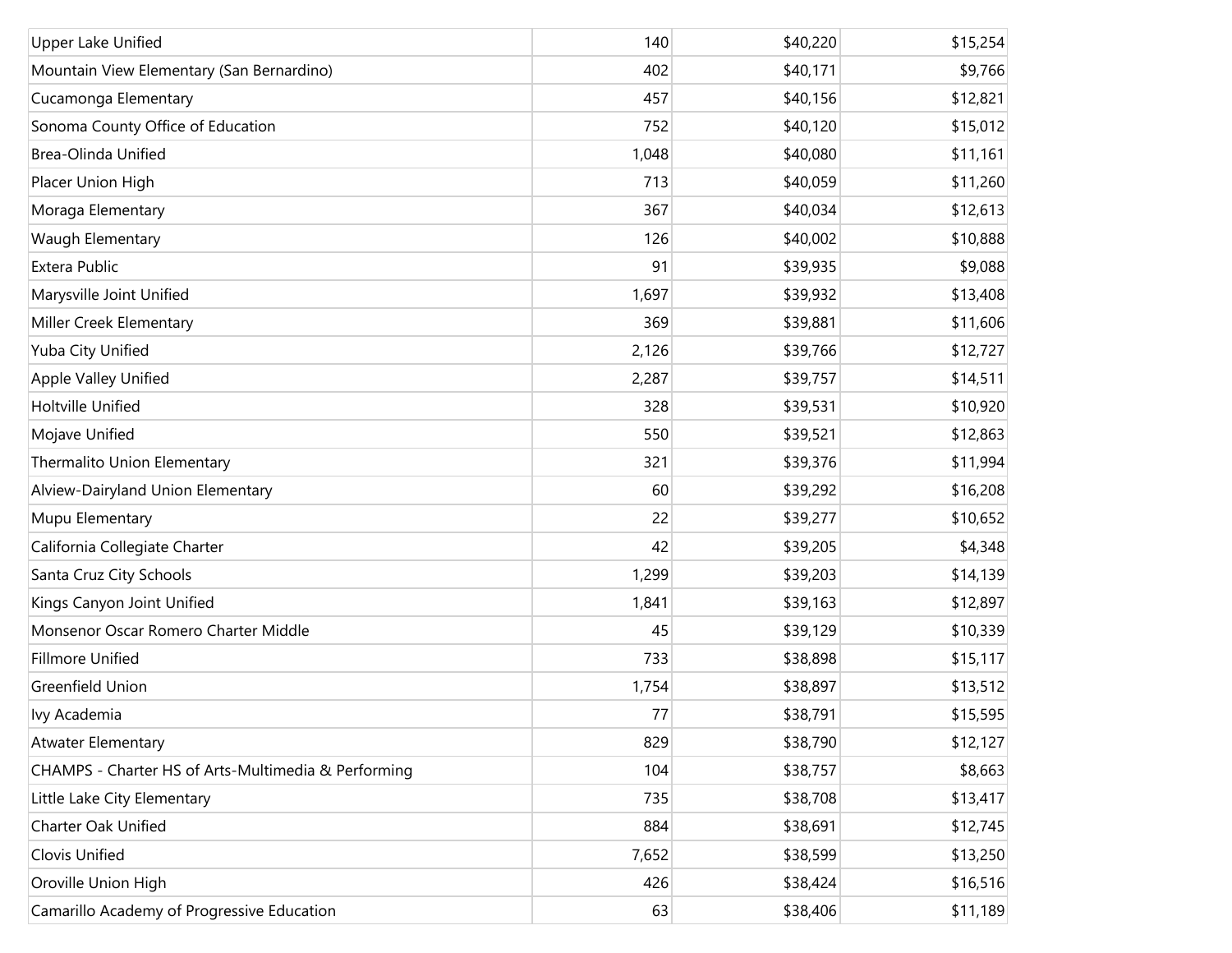| Upper Lake Unified                                  | 140   | \$40,220 | \$15,254 |
|-----------------------------------------------------|-------|----------|----------|
| Mountain View Elementary (San Bernardino)           | 402   | \$40,171 | \$9,766  |
| Cucamonga Elementary                                | 457   | \$40,156 | \$12,821 |
| Sonoma County Office of Education                   | 752   | \$40,120 | \$15,012 |
| Brea-Olinda Unified                                 | 1,048 | \$40,080 | \$11,161 |
| Placer Union High                                   | 713   | \$40,059 | \$11,260 |
| Moraga Elementary                                   | 367   | \$40,034 | \$12,613 |
| Waugh Elementary                                    | 126   | \$40,002 | \$10,888 |
| Extera Public                                       | 91    | \$39,935 | \$9,088  |
| Marysville Joint Unified                            | 1,697 | \$39,932 | \$13,408 |
| Miller Creek Elementary                             | 369   | \$39,881 | \$11,606 |
| Yuba City Unified                                   | 2,126 | \$39,766 | \$12,727 |
| Apple Valley Unified                                | 2,287 | \$39,757 | \$14,511 |
| Holtville Unified                                   | 328   | \$39,531 | \$10,920 |
| Mojave Unified                                      | 550   | \$39,521 | \$12,863 |
| Thermalito Union Elementary                         | 321   | \$39,376 | \$11,994 |
| Alview-Dairyland Union Elementary                   | 60    | \$39,292 | \$16,208 |
| Mupu Elementary                                     | 22    | \$39,277 | \$10,652 |
| California Collegiate Charter                       | 42    | \$39,205 | \$4,348  |
| Santa Cruz City Schools                             | 1,299 | \$39,203 | \$14,139 |
| Kings Canyon Joint Unified                          | 1,841 | \$39,163 | \$12,897 |
| Monsenor Oscar Romero Charter Middle                | 45    | \$39,129 | \$10,339 |
| <b>Fillmore Unified</b>                             | 733   | \$38,898 | \$15,117 |
| Greenfield Union                                    | 1,754 | \$38,897 | \$13,512 |
| Ivy Academia                                        | 77    | \$38,791 | \$15,595 |
| <b>Atwater Elementary</b>                           | 829   | \$38,790 | \$12,127 |
| CHAMPS - Charter HS of Arts-Multimedia & Performing | 104   | \$38,757 | \$8,663  |
| Little Lake City Elementary                         | 735   | \$38,708 | \$13,417 |
| Charter Oak Unified                                 | 884   | \$38,691 | \$12,745 |
| Clovis Unified                                      | 7,652 | \$38,599 | \$13,250 |
| Oroville Union High                                 | 426   | \$38,424 | \$16,516 |
| Camarillo Academy of Progressive Education          | 63    | \$38,406 | \$11,189 |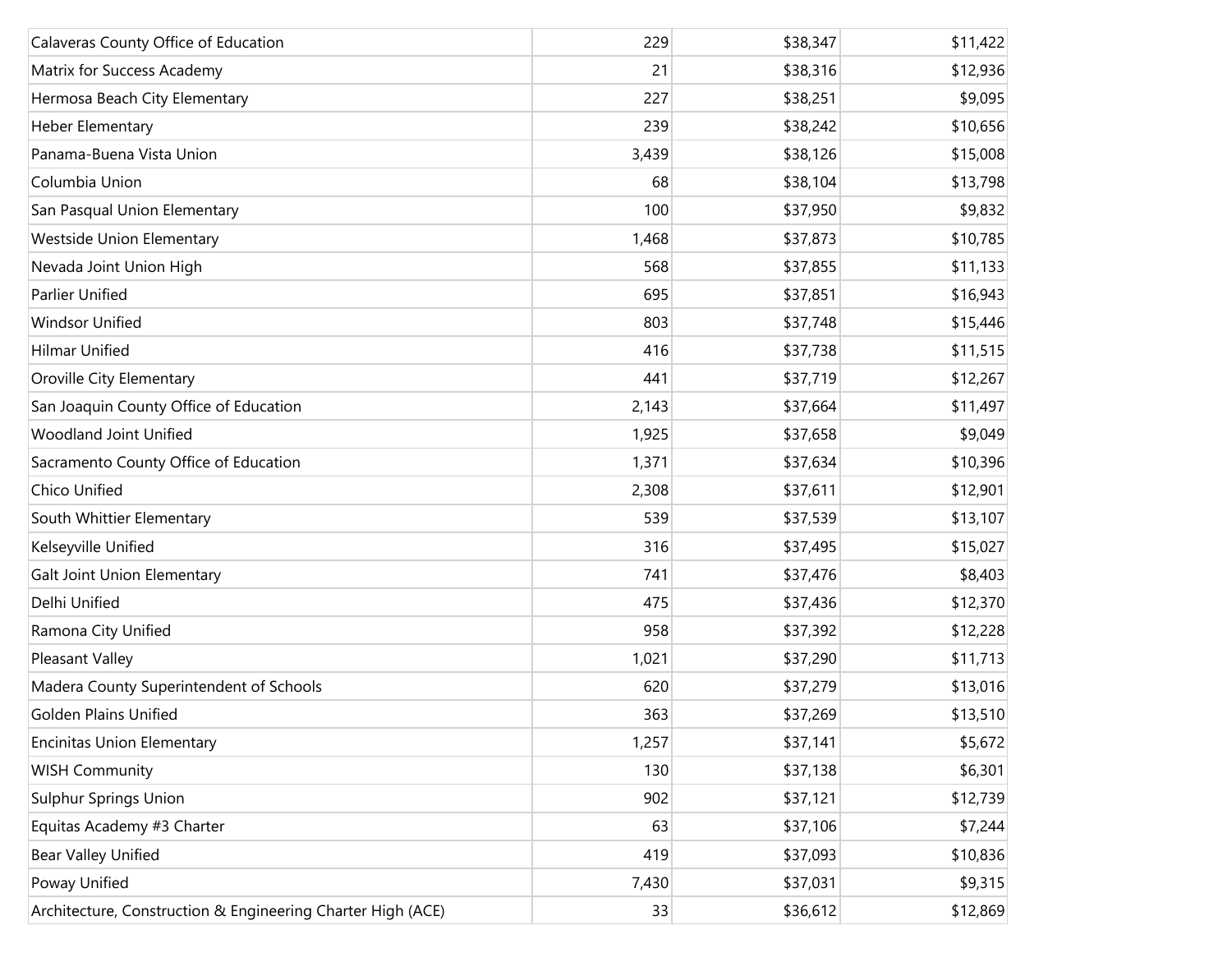| Calaveras County Office of Education                        | 229   | \$38,347 | \$11,422 |
|-------------------------------------------------------------|-------|----------|----------|
| Matrix for Success Academy                                  | 21    | \$38,316 | \$12,936 |
| Hermosa Beach City Elementary                               | 227   | \$38,251 | \$9,095  |
| Heber Elementary                                            | 239   | \$38,242 | \$10,656 |
| Panama-Buena Vista Union                                    | 3,439 | \$38,126 | \$15,008 |
| Columbia Union                                              | 68    | \$38,104 | \$13,798 |
| San Pasqual Union Elementary                                | 100   | \$37,950 | \$9,832  |
| <b>Westside Union Elementary</b>                            | 1,468 | \$37,873 | \$10,785 |
| Nevada Joint Union High                                     | 568   | \$37,855 | \$11,133 |
| <b>Parlier Unified</b>                                      | 695   | \$37,851 | \$16,943 |
| <b>Windsor Unified</b>                                      | 803   | \$37,748 | \$15,446 |
| <b>Hilmar Unified</b>                                       | 416   | \$37,738 | \$11,515 |
| Oroville City Elementary                                    | 441   | \$37,719 | \$12,267 |
| San Joaquin County Office of Education                      | 2,143 | \$37,664 | \$11,497 |
| Woodland Joint Unified                                      | 1,925 | \$37,658 | \$9,049  |
| Sacramento County Office of Education                       | 1,371 | \$37,634 | \$10,396 |
| Chico Unified                                               | 2,308 | \$37,611 | \$12,901 |
| South Whittier Elementary                                   | 539   | \$37,539 | \$13,107 |
| Kelseyville Unified                                         | 316   | \$37,495 | \$15,027 |
| Galt Joint Union Elementary                                 | 741   | \$37,476 | \$8,403  |
| Delhi Unified                                               | 475   | \$37,436 | \$12,370 |
| Ramona City Unified                                         | 958   | \$37,392 | \$12,228 |
| Pleasant Valley                                             | 1,021 | \$37,290 | \$11,713 |
| Madera County Superintendent of Schools                     | 620   | \$37,279 | \$13,016 |
| <b>Golden Plains Unified</b>                                | 363   | \$37,269 | \$13,510 |
| <b>Encinitas Union Elementary</b>                           | 1,257 | \$37,141 | \$5,672  |
| <b>WISH Community</b>                                       | 130   | \$37,138 | \$6,301  |
| <b>Sulphur Springs Union</b>                                | 902   | \$37,121 | \$12,739 |
| Equitas Academy #3 Charter                                  | 63    | \$37,106 | \$7,244  |
| <b>Bear Valley Unified</b>                                  | 419   | \$37,093 | \$10,836 |
| Poway Unified                                               | 7,430 | \$37,031 | \$9,315  |
| Architecture, Construction & Engineering Charter High (ACE) | 33    | \$36,612 | \$12,869 |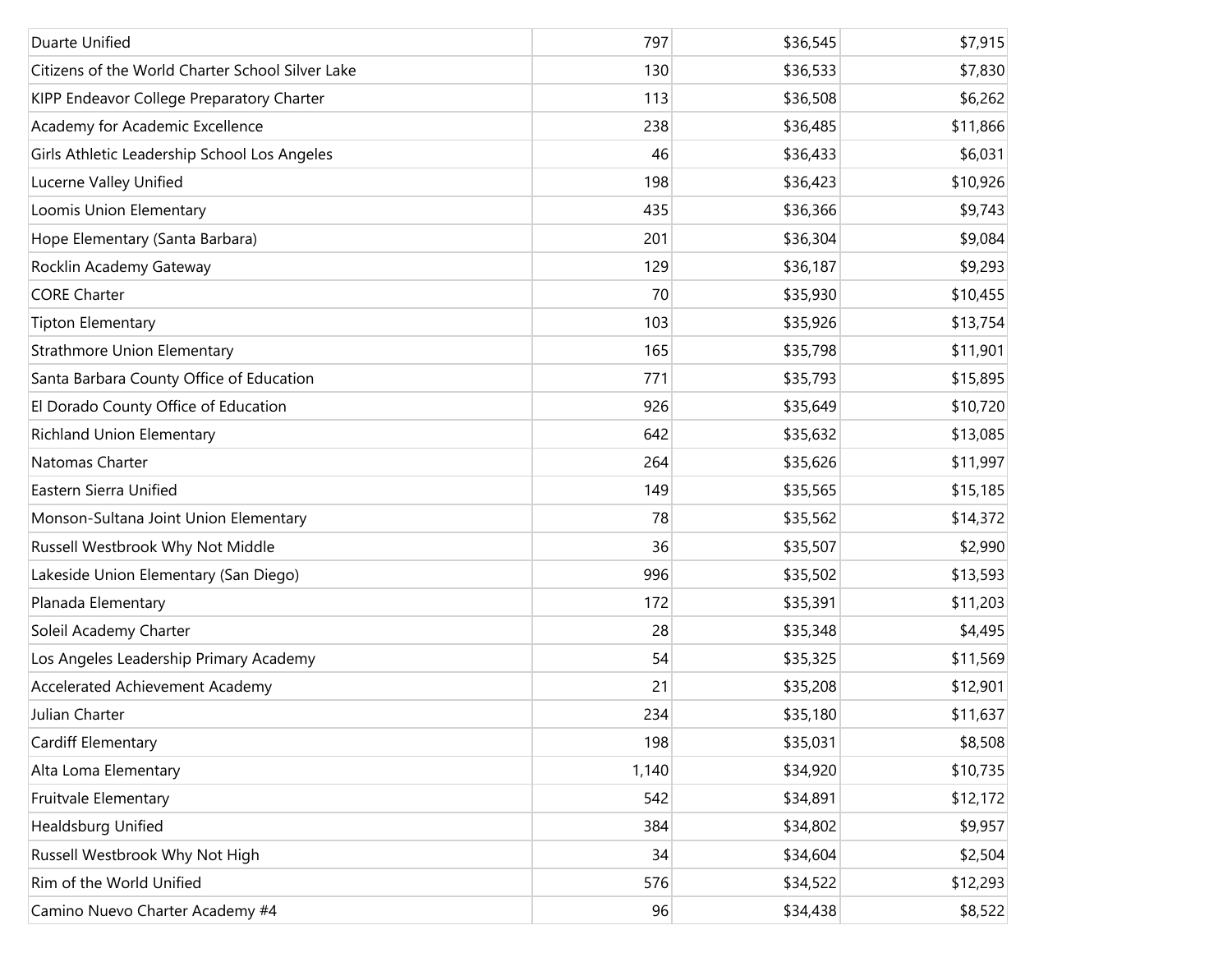| Duarte Unified                                   | 797   | \$36,545 | \$7,915  |
|--------------------------------------------------|-------|----------|----------|
| Citizens of the World Charter School Silver Lake | 130   | \$36,533 | \$7,830  |
| KIPP Endeavor College Preparatory Charter        | 113   | \$36,508 | \$6,262  |
| Academy for Academic Excellence                  | 238   | \$36,485 | \$11,866 |
| Girls Athletic Leadership School Los Angeles     | 46    | \$36,433 | \$6,031  |
| Lucerne Valley Unified                           | 198   | \$36,423 | \$10,926 |
| Loomis Union Elementary                          | 435   | \$36,366 | \$9,743  |
| Hope Elementary (Santa Barbara)                  | 201   | \$36,304 | \$9,084  |
| Rocklin Academy Gateway                          | 129   | \$36,187 | \$9,293  |
| <b>CORE Charter</b>                              | 70    | \$35,930 | \$10,455 |
| <b>Tipton Elementary</b>                         | 103   | \$35,926 | \$13,754 |
| Strathmore Union Elementary                      | 165   | \$35,798 | \$11,901 |
| Santa Barbara County Office of Education         | 771   | \$35,793 | \$15,895 |
| El Dorado County Office of Education             | 926   | \$35,649 | \$10,720 |
| <b>Richland Union Elementary</b>                 | 642   | \$35,632 | \$13,085 |
| Natomas Charter                                  | 264   | \$35,626 | \$11,997 |
| Eastern Sierra Unified                           | 149   | \$35,565 | \$15,185 |
| Monson-Sultana Joint Union Elementary            | 78    | \$35,562 | \$14,372 |
| Russell Westbrook Why Not Middle                 | 36    | \$35,507 | \$2,990  |
| Lakeside Union Elementary (San Diego)            | 996   | \$35,502 | \$13,593 |
| Planada Elementary                               | 172   | \$35,391 | \$11,203 |
| Soleil Academy Charter                           | 28    | \$35,348 | \$4,495  |
| Los Angeles Leadership Primary Academy           | 54    | \$35,325 | \$11,569 |
| Accelerated Achievement Academy                  | 21    | \$35,208 | \$12,901 |
| Julian Charter                                   | 234   | \$35,180 | \$11,637 |
| Cardiff Elementary                               | 198   | \$35,031 | \$8,508  |
| Alta Loma Elementary                             | 1,140 | \$34,920 | \$10,735 |
| Fruitvale Elementary                             | 542   | \$34,891 | \$12,172 |
| Healdsburg Unified                               | 384   | \$34,802 | \$9,957  |
| Russell Westbrook Why Not High                   | 34    | \$34,604 | \$2,504  |
| Rim of the World Unified                         | 576   | \$34,522 | \$12,293 |
| Camino Nuevo Charter Academy #4                  | 96    | \$34,438 | \$8,522  |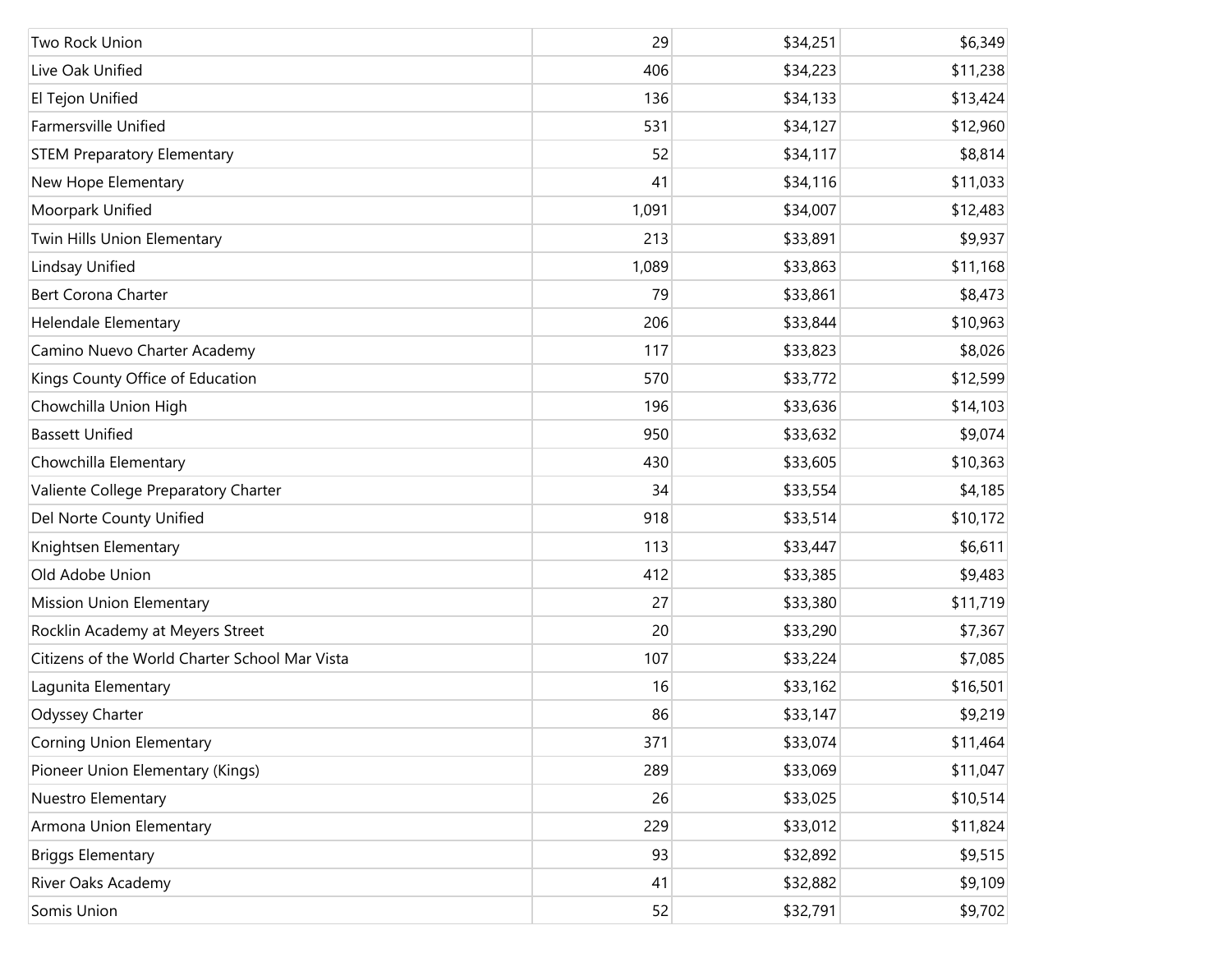| Two Rock Union                                 | 29    | \$34,251 | \$6,349  |
|------------------------------------------------|-------|----------|----------|
| Live Oak Unified                               | 406   | \$34,223 | \$11,238 |
| El Tejon Unified                               | 136   | \$34,133 | \$13,424 |
| <b>Farmersville Unified</b>                    | 531   | \$34,127 | \$12,960 |
| <b>STEM Preparatory Elementary</b>             | 52    | \$34,117 | \$8,814  |
| New Hope Elementary                            | 41    | \$34,116 | \$11,033 |
| Moorpark Unified                               | 1,091 | \$34,007 | \$12,483 |
| Twin Hills Union Elementary                    | 213   | \$33,891 | \$9,937  |
| Lindsay Unified                                | 1,089 | \$33,863 | \$11,168 |
| <b>Bert Corona Charter</b>                     | 79    | \$33,861 | \$8,473  |
| <b>Helendale Elementary</b>                    | 206   | \$33,844 | \$10,963 |
| Camino Nuevo Charter Academy                   | 117   | \$33,823 | \$8,026  |
| Kings County Office of Education               | 570   | \$33,772 | \$12,599 |
| Chowchilla Union High                          | 196   | \$33,636 | \$14,103 |
| <b>Bassett Unified</b>                         | 950   | \$33,632 | \$9,074  |
| Chowchilla Elementary                          | 430   | \$33,605 | \$10,363 |
| Valiente College Preparatory Charter           | 34    | \$33,554 | \$4,185  |
| Del Norte County Unified                       | 918   | \$33,514 | \$10,172 |
| Knightsen Elementary                           | 113   | \$33,447 | \$6,611  |
| Old Adobe Union                                | 412   | \$33,385 | \$9,483  |
| <b>Mission Union Elementary</b>                | 27    | \$33,380 | \$11,719 |
| Rocklin Academy at Meyers Street               | 20    | \$33,290 | \$7,367  |
| Citizens of the World Charter School Mar Vista | 107   | \$33,224 | \$7,085  |
| Lagunita Elementary                            | 16    | \$33,162 | \$16,501 |
| Odyssey Charter                                | 86    | \$33,147 | \$9,219  |
| <b>Corning Union Elementary</b>                | 371   | \$33,074 | \$11,464 |
| Pioneer Union Elementary (Kings)               | 289   | \$33,069 | \$11,047 |
| Nuestro Elementary                             | 26    | \$33,025 | \$10,514 |
| Armona Union Elementary                        | 229   | \$33,012 | \$11,824 |
| <b>Briggs Elementary</b>                       | 93    | \$32,892 | \$9,515  |
| River Oaks Academy                             | 41    | \$32,882 | \$9,109  |
| Somis Union                                    | 52    | \$32,791 | \$9,702  |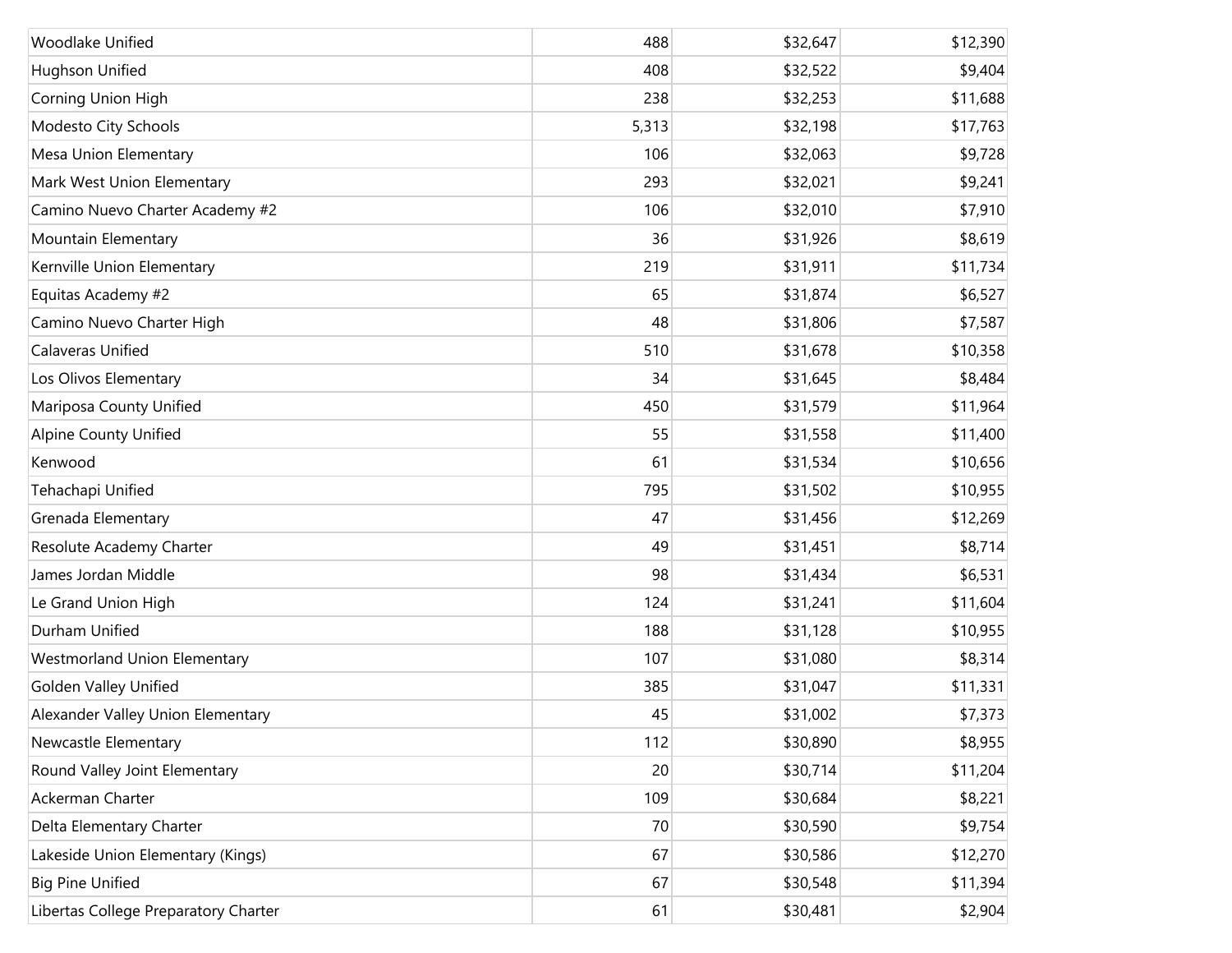| Woodlake Unified                     | 488   | \$32,647 | \$12,390 |
|--------------------------------------|-------|----------|----------|
| Hughson Unified                      | 408   | \$32,522 | \$9,404  |
| Corning Union High                   | 238   | \$32,253 | \$11,688 |
| Modesto City Schools                 | 5,313 | \$32,198 | \$17,763 |
| Mesa Union Elementary                | 106   | \$32,063 | \$9,728  |
| Mark West Union Elementary           | 293   | \$32,021 | \$9,241  |
| Camino Nuevo Charter Academy #2      | 106   | \$32,010 | \$7,910  |
| Mountain Elementary                  | 36    | \$31,926 | \$8,619  |
| Kernville Union Elementary           | 219   | \$31,911 | \$11,734 |
| Equitas Academy #2                   | 65    | \$31,874 | \$6,527  |
| Camino Nuevo Charter High            | 48    | \$31,806 | \$7,587  |
| Calaveras Unified                    | 510   | \$31,678 | \$10,358 |
| Los Olivos Elementary                | 34    | \$31,645 | \$8,484  |
| Mariposa County Unified              | 450   | \$31,579 | \$11,964 |
| <b>Alpine County Unified</b>         | 55    | \$31,558 | \$11,400 |
| Kenwood                              | 61    | \$31,534 | \$10,656 |
| Tehachapi Unified                    | 795   | \$31,502 | \$10,955 |
| Grenada Elementary                   | 47    | \$31,456 | \$12,269 |
| Resolute Academy Charter             | 49    | \$31,451 | \$8,714  |
| James Jordan Middle                  | 98    | \$31,434 | \$6,531  |
| Le Grand Union High                  | 124   | \$31,241 | \$11,604 |
| Durham Unified                       | 188   | \$31,128 | \$10,955 |
| <b>Westmorland Union Elementary</b>  | 107   | \$31,080 | \$8,314  |
| <b>Golden Valley Unified</b>         | 385   | \$31,047 | \$11,331 |
| Alexander Valley Union Elementary    | 45    | \$31,002 | \$7,373  |
| Newcastle Elementary                 | 112   | \$30,890 | \$8,955  |
| Round Valley Joint Elementary        | 20    | \$30,714 | \$11,204 |
| Ackerman Charter                     | 109   | \$30,684 | \$8,221  |
| Delta Elementary Charter             | 70    | \$30,590 | \$9,754  |
| Lakeside Union Elementary (Kings)    | 67    | \$30,586 | \$12,270 |
| <b>Big Pine Unified</b>              | 67    | \$30,548 | \$11,394 |
| Libertas College Preparatory Charter | 61    | \$30,481 | \$2,904  |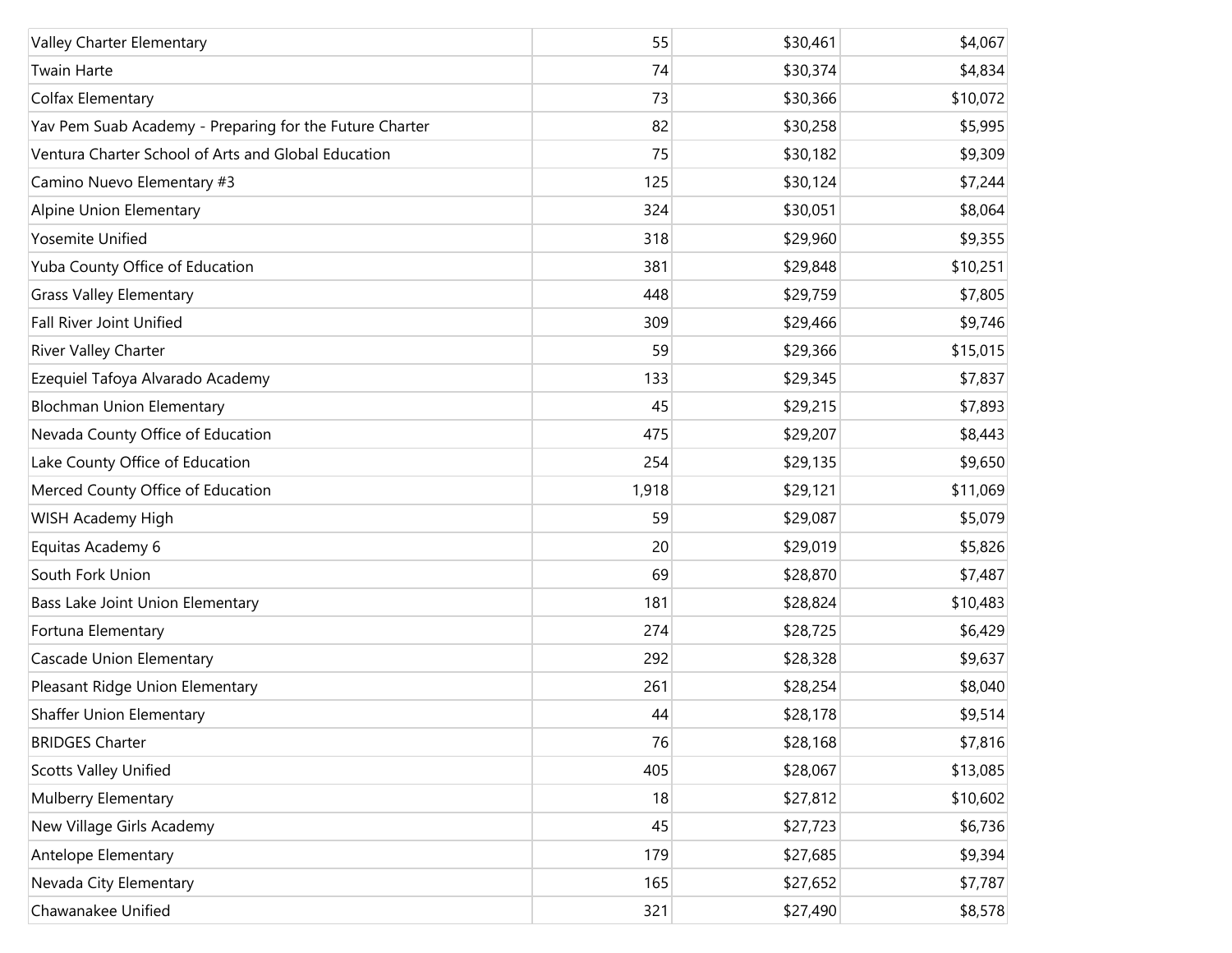| Valley Charter Elementary                               | 55    | \$30,461 | \$4,067  |
|---------------------------------------------------------|-------|----------|----------|
| <b>Twain Harte</b>                                      | 74    | \$30,374 | \$4,834  |
| Colfax Elementary                                       | 73    | \$30,366 | \$10,072 |
| Yav Pem Suab Academy - Preparing for the Future Charter | 82    | \$30,258 | \$5,995  |
| Ventura Charter School of Arts and Global Education     | 75    | \$30,182 | \$9,309  |
| Camino Nuevo Elementary #3                              | 125   | \$30,124 | \$7,244  |
| Alpine Union Elementary                                 | 324   | \$30,051 | \$8,064  |
| Yosemite Unified                                        | 318   | \$29,960 | \$9,355  |
| Yuba County Office of Education                         | 381   | \$29,848 | \$10,251 |
| <b>Grass Valley Elementary</b>                          | 448   | \$29,759 | \$7,805  |
| <b>Fall River Joint Unified</b>                         | 309   | \$29,466 | \$9,746  |
| River Valley Charter                                    | 59    | \$29,366 | \$15,015 |
| Ezequiel Tafoya Alvarado Academy                        | 133   | \$29,345 | \$7,837  |
| <b>Blochman Union Elementary</b>                        | 45    | \$29,215 | \$7,893  |
| Nevada County Office of Education                       | 475   | \$29,207 | \$8,443  |
| Lake County Office of Education                         | 254   | \$29,135 | \$9,650  |
| Merced County Office of Education                       | 1,918 | \$29,121 | \$11,069 |
| WISH Academy High                                       | 59    | \$29,087 | \$5,079  |
| Equitas Academy 6                                       | 20    | \$29,019 | \$5,826  |
| South Fork Union                                        | 69    | \$28,870 | \$7,487  |
| Bass Lake Joint Union Elementary                        | 181   | \$28,824 | \$10,483 |
| Fortuna Elementary                                      | 274   | \$28,725 | \$6,429  |
| Cascade Union Elementary                                | 292   | \$28,328 | \$9,637  |
| Pleasant Ridge Union Elementary                         | 261   | \$28,254 | \$8,040  |
| Shaffer Union Elementary                                | 44    | \$28,178 | \$9,514  |
| <b>BRIDGES Charter</b>                                  | 76    | \$28,168 | \$7,816  |
| <b>Scotts Valley Unified</b>                            | 405   | \$28,067 | \$13,085 |
| Mulberry Elementary                                     | 18    | \$27,812 | \$10,602 |
| New Village Girls Academy                               | 45    | \$27,723 | \$6,736  |
| Antelope Elementary                                     | 179   | \$27,685 | \$9,394  |
| Nevada City Elementary                                  | 165   | \$27,652 | \$7,787  |
| Chawanakee Unified                                      | 321   | \$27,490 | \$8,578  |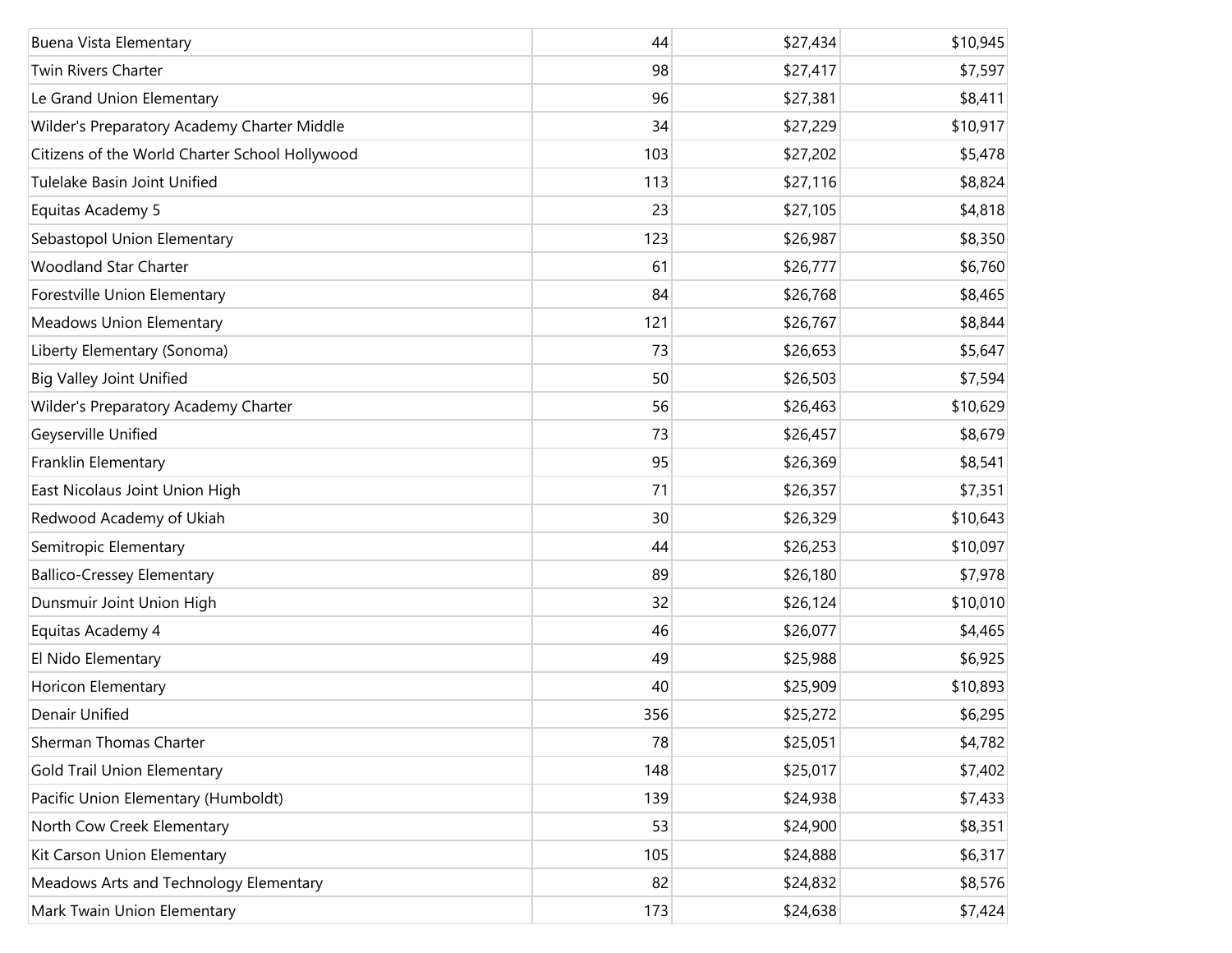| Buena Vista Elementary                         | 44  | \$27,434 | \$10,945 |
|------------------------------------------------|-----|----------|----------|
| <b>Twin Rivers Charter</b>                     | 98  | \$27,417 | \$7,597  |
| Le Grand Union Elementary                      | 96  | \$27,381 | \$8,411  |
| Wilder's Preparatory Academy Charter Middle    | 34  | \$27,229 | \$10,917 |
| Citizens of the World Charter School Hollywood | 103 | \$27,202 | \$5,478  |
| Tulelake Basin Joint Unified                   | 113 | \$27,116 | \$8,824  |
| Equitas Academy 5                              | 23  | \$27,105 | \$4,818  |
| Sebastopol Union Elementary                    | 123 | \$26,987 | \$8,350  |
| <b>Woodland Star Charter</b>                   | 61  | \$26,777 | \$6,760  |
| Forestville Union Elementary                   | 84  | \$26,768 | \$8,465  |
| Meadows Union Elementary                       | 121 | \$26,767 | \$8,844  |
| Liberty Elementary (Sonoma)                    | 73  | \$26,653 | \$5,647  |
| <b>Big Valley Joint Unified</b>                | 50  | \$26,503 | \$7,594  |
| Wilder's Preparatory Academy Charter           | 56  | \$26,463 | \$10,629 |
| Geyserville Unified                            | 73  | \$26,457 | \$8,679  |
| Franklin Elementary                            | 95  | \$26,369 | \$8,541  |
| East Nicolaus Joint Union High                 | 71  | \$26,357 | \$7,351  |
| Redwood Academy of Ukiah                       | 30  | \$26,329 | \$10,643 |
| Semitropic Elementary                          | 44  | \$26,253 | \$10,097 |
| <b>Ballico-Cressey Elementary</b>              | 89  | \$26,180 | \$7,978  |
| Dunsmuir Joint Union High                      | 32  | \$26,124 | \$10,010 |
| Equitas Academy 4                              | 46  | \$26,077 | \$4,465  |
| El Nido Elementary                             | 49  | \$25,988 | \$6,925  |
| Horicon Elementary                             | 40  | \$25,909 | \$10,893 |
| Denair Unified                                 | 356 | \$25,272 | \$6,295  |
| Sherman Thomas Charter                         | 78  | \$25,051 | \$4,782  |
| <b>Gold Trail Union Elementary</b>             | 148 | \$25,017 | \$7,402  |
| Pacific Union Elementary (Humboldt)            | 139 | \$24,938 | \$7,433  |
| North Cow Creek Elementary                     | 53  | \$24,900 | \$8,351  |
| Kit Carson Union Elementary                    | 105 | \$24,888 | \$6,317  |
| Meadows Arts and Technology Elementary         | 82  | \$24,832 | \$8,576  |
| Mark Twain Union Elementary                    | 173 | \$24,638 | \$7,424  |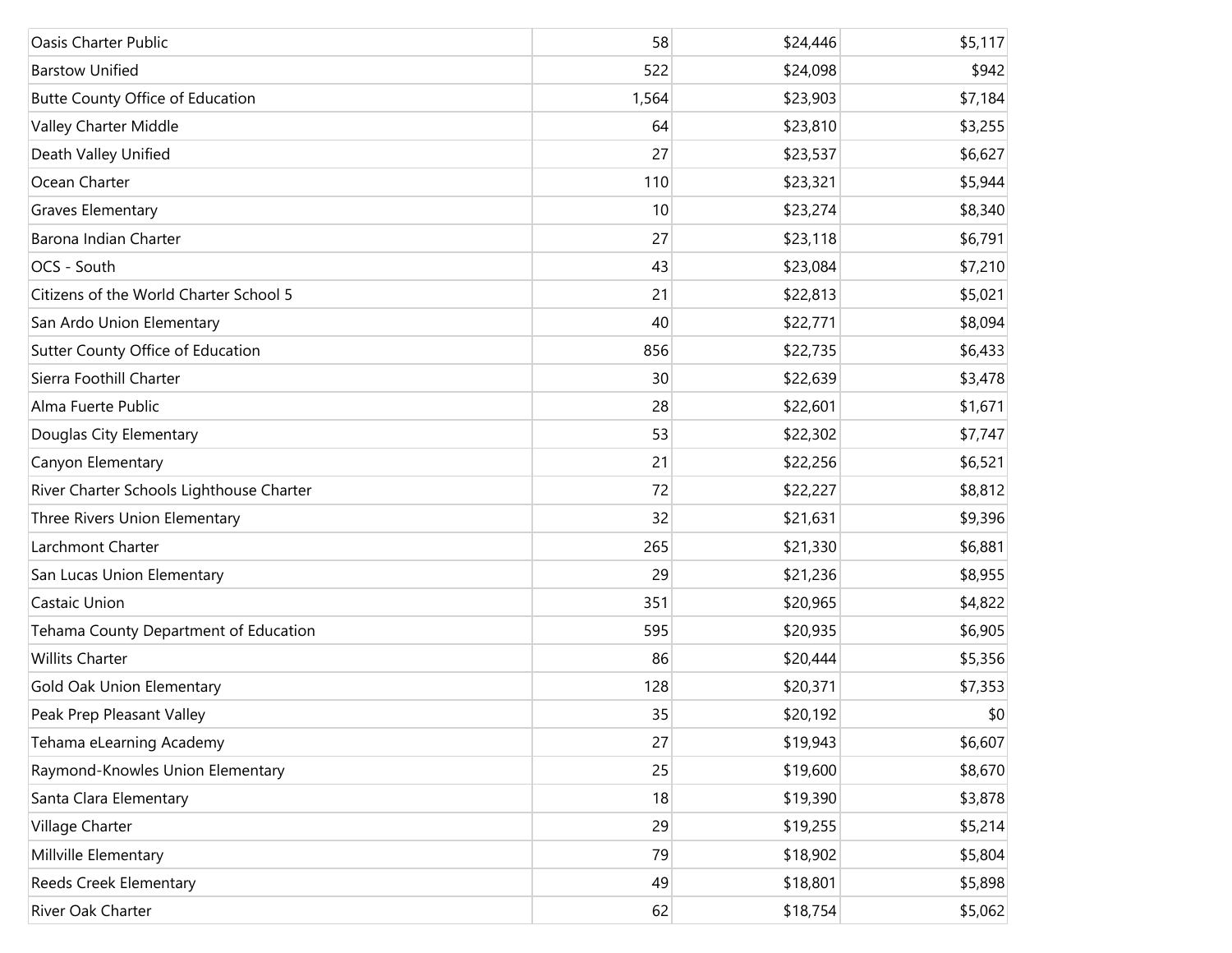| Oasis Charter Public                     | 58    | \$24,446 | \$5,117 |
|------------------------------------------|-------|----------|---------|
| <b>Barstow Unified</b>                   | 522   | \$24,098 | \$942   |
| Butte County Office of Education         | 1,564 | \$23,903 | \$7,184 |
| Valley Charter Middle                    | 64    | \$23,810 | \$3,255 |
| Death Valley Unified                     | 27    | \$23,537 | \$6,627 |
| Ocean Charter                            | 110   | \$23,321 | \$5,944 |
| <b>Graves Elementary</b>                 | 10    | \$23,274 | \$8,340 |
| Barona Indian Charter                    | 27    | \$23,118 | \$6,791 |
| OCS - South                              | 43    | \$23,084 | \$7,210 |
| Citizens of the World Charter School 5   | 21    | \$22,813 | \$5,021 |
| San Ardo Union Elementary                | 40    | \$22,771 | \$8,094 |
| Sutter County Office of Education        | 856   | \$22,735 | \$6,433 |
| Sierra Foothill Charter                  | 30    | \$22,639 | \$3,478 |
| Alma Fuerte Public                       | 28    | \$22,601 | \$1,671 |
| Douglas City Elementary                  | 53    | \$22,302 | \$7,747 |
| Canyon Elementary                        | 21    | \$22,256 | \$6,521 |
| River Charter Schools Lighthouse Charter | 72    | \$22,227 | \$8,812 |
| Three Rivers Union Elementary            | 32    | \$21,631 | \$9,396 |
| Larchmont Charter                        | 265   | \$21,330 | \$6,881 |
| San Lucas Union Elementary               | 29    | \$21,236 | \$8,955 |
| Castaic Union                            | 351   | \$20,965 | \$4,822 |
| Tehama County Department of Education    | 595   | \$20,935 | \$6,905 |
| <b>Willits Charter</b>                   | 86    | \$20,444 | \$5,356 |
| Gold Oak Union Elementary                | 128   | \$20,371 | \$7,353 |
| Peak Prep Pleasant Valley                | 35    | \$20,192 | \$0     |
| Tehama eLearning Academy                 | 27    | \$19,943 | \$6,607 |
| Raymond-Knowles Union Elementary         | 25    | \$19,600 | \$8,670 |
| Santa Clara Elementary                   | 18    | \$19,390 | \$3,878 |
| Village Charter                          | 29    | \$19,255 | \$5,214 |
| Millville Elementary                     | 79    | \$18,902 | \$5,804 |
| Reeds Creek Elementary                   | 49    | \$18,801 | \$5,898 |
| River Oak Charter                        | 62    | \$18,754 | \$5,062 |